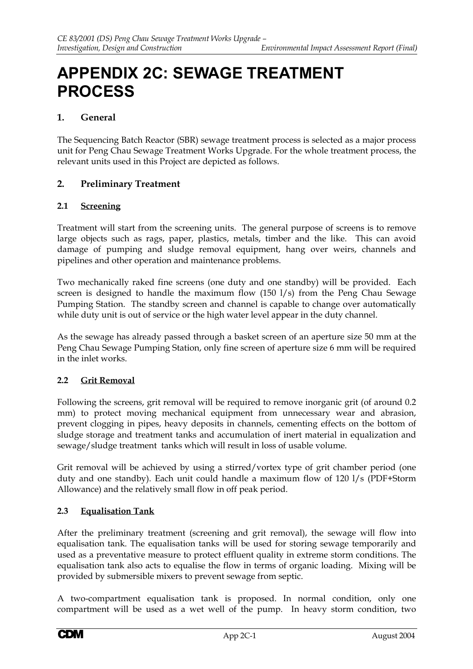# **APPENDIX 2C: SEWAGE TREATMENT PROCESS**

# **1. General**

The Sequencing Batch Reactor (SBR) sewage treatment process is selected as a major process unit for Peng Chau Sewage Treatment Works Upgrade. For the whole treatment process, the relevant units used in this Project are depicted as follows.

# **2. Preliminary Treatment**

#### **2.1 Screening**

Treatment will start from the screening units. The general purpose of screens is to remove large objects such as rags, paper, plastics, metals, timber and the like. This can avoid damage of pumping and sludge removal equipment, hang over weirs, channels and pipelines and other operation and maintenance problems.

Two mechanically raked fine screens (one duty and one standby) will be provided. Each screen is designed to handle the maximum flow (150 l/s) from the Peng Chau Sewage Pumping Station. The standby screen and channel is capable to change over automatically while duty unit is out of service or the high water level appear in the duty channel.

As the sewage has already passed through a basket screen of an aperture size 50 mm at the Peng Chau Sewage Pumping Station, only fine screen of aperture size 6 mm will be required in the inlet works.

## **2.2 Grit Removal**

Following the screens, grit removal will be required to remove inorganic grit (of around 0.2 mm) to protect moving mechanical equipment from unnecessary wear and abrasion, prevent clogging in pipes, heavy deposits in channels, cementing effects on the bottom of sludge storage and treatment tanks and accumulation of inert material in equalization and sewage/sludge treatment tanks which will result in loss of usable volume.

Grit removal will be achieved by using a stirred/vortex type of grit chamber period (one duty and one standby). Each unit could handle a maximum flow of 120 l/s (PDF+Storm Allowance) and the relatively small flow in off peak period.

## **2.3 Equalisation Tank**

After the preliminary treatment (screening and grit removal), the sewage will flow into equalisation tank. The equalisation tanks will be used for storing sewage temporarily and used as a preventative measure to protect effluent quality in extreme storm conditions. The equalisation tank also acts to equalise the flow in terms of organic loading. Mixing will be provided by submersible mixers to prevent sewage from septic.

A two-compartment equalisation tank is proposed. In normal condition, only one compartment will be used as a wet well of the pump. In heavy storm condition, two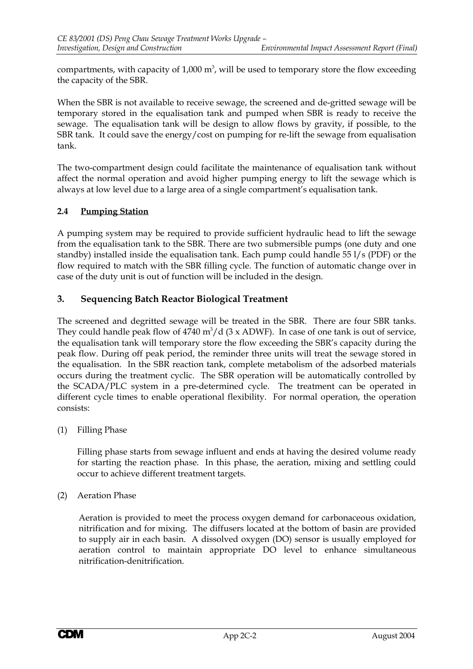compartments, with capacity of 1,000  $\text{m}^3$ , will be used to temporary store the flow exceeding the capacity of the SBR.

When the SBR is not available to receive sewage, the screened and de-gritted sewage will be temporary stored in the equalisation tank and pumped when SBR is ready to receive the sewage. The equalisation tank will be design to allow flows by gravity, if possible, to the SBR tank. It could save the energy/cost on pumping for re-lift the sewage from equalisation tank.

The two-compartment design could facilitate the maintenance of equalisation tank without affect the normal operation and avoid higher pumping energy to lift the sewage which is always at low level due to a large area of a single compartment's equalisation tank.

# **2.4 Pumping Station**

A pumping system may be required to provide sufficient hydraulic head to lift the sewage from the equalisation tank to the SBR. There are two submersible pumps (one duty and one standby) installed inside the equalisation tank. Each pump could handle 55 l/s (PDF) or the flow required to match with the SBR filling cycle. The function of automatic change over in case of the duty unit is out of function will be included in the design.

# **3. Sequencing Batch Reactor Biological Treatment**

The screened and degritted sewage will be treated in the SBR. There are four SBR tanks. They could handle peak flow of  $4740 \text{ m}^3/\text{d}$  (3 x ADWF). In case of one tank is out of service, the equalisation tank will temporary store the flow exceeding the SBR's capacity during the peak flow. During off peak period, the reminder three units will treat the sewage stored in the equalisation. In the SBR reaction tank, complete metabolism of the adsorbed materials occurs during the treatment cyclic. The SBR operation will be automatically controlled by the SCADA/PLC system in a pre-determined cycle. The treatment can be operated in different cycle times to enable operational flexibility. For normal operation, the operation consists:

(1) Filling Phase

Filling phase starts from sewage influent and ends at having the desired volume ready for starting the reaction phase. In this phase, the aeration, mixing and settling could occur to achieve different treatment targets.

(2) Aeration Phase

Aeration is provided to meet the process oxygen demand for carbonaceous oxidation, nitrification and for mixing. The diffusers located at the bottom of basin are provided to supply air in each basin. A dissolved oxygen (DO) sensor is usually employed for aeration control to maintain appropriate DO level to enhance simultaneous nitrification-denitrification.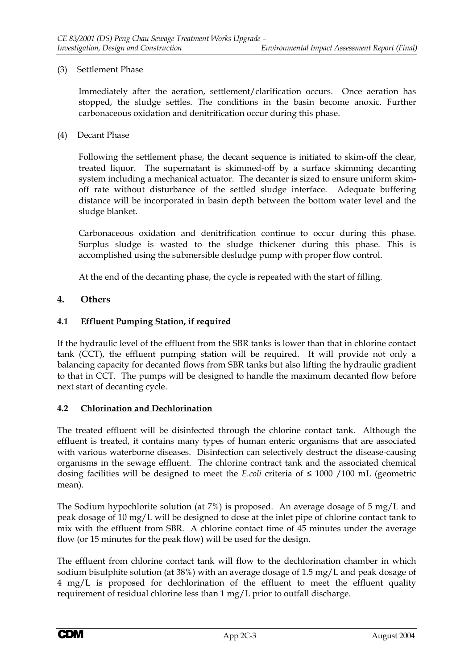#### (3) Settlement Phase

Immediately after the aeration, settlement/clarification occurs. Once aeration has stopped, the sludge settles. The conditions in the basin become anoxic. Further carbonaceous oxidation and denitrification occur during this phase.

(4) Decant Phase

Following the settlement phase, the decant sequence is initiated to skim-off the clear, treated liquor. The supernatant is skimmed-off by a surface skimming decanting system including a mechanical actuator. The decanter is sized to ensure uniform skimoff rate without disturbance of the settled sludge interface. Adequate buffering distance will be incorporated in basin depth between the bottom water level and the sludge blanket.

Carbonaceous oxidation and denitrification continue to occur during this phase. Surplus sludge is wasted to the sludge thickener during this phase. This is accomplished using the submersible desludge pump with proper flow control.

At the end of the decanting phase, the cycle is repeated with the start of filling.

# **4. Others**

## **4.1 Effluent Pumping Station, if required**

If the hydraulic level of the effluent from the SBR tanks is lower than that in chlorine contact tank (CCT), the effluent pumping station will be required. It will provide not only a balancing capacity for decanted flows from SBR tanks but also lifting the hydraulic gradient to that in CCT. The pumps will be designed to handle the maximum decanted flow before next start of decanting cycle.

## **4.2 Chlorination and Dechlorination**

The treated effluent will be disinfected through the chlorine contact tank. Although the effluent is treated, it contains many types of human enteric organisms that are associated with various waterborne diseases. Disinfection can selectively destruct the disease-causing organisms in the sewage effluent. The chlorine contract tank and the associated chemical dosing facilities will be designed to meet the *E.coli* criteria of ≤ 1000 /100 mL (geometric mean).

The Sodium hypochlorite solution (at 7%) is proposed. An average dosage of 5 mg/L and peak dosage of 10 mg/L will be designed to dose at the inlet pipe of chlorine contact tank to mix with the effluent from SBR. A chlorine contact time of 45 minutes under the average flow (or 15 minutes for the peak flow) will be used for the design.

The effluent from chlorine contact tank will flow to the dechlorination chamber in which sodium bisulphite solution (at 38%) with an average dosage of 1.5 mg/L and peak dosage of 4 mg/L is proposed for dechlorination of the effluent to meet the effluent quality requirement of residual chlorine less than 1 mg/L prior to outfall discharge.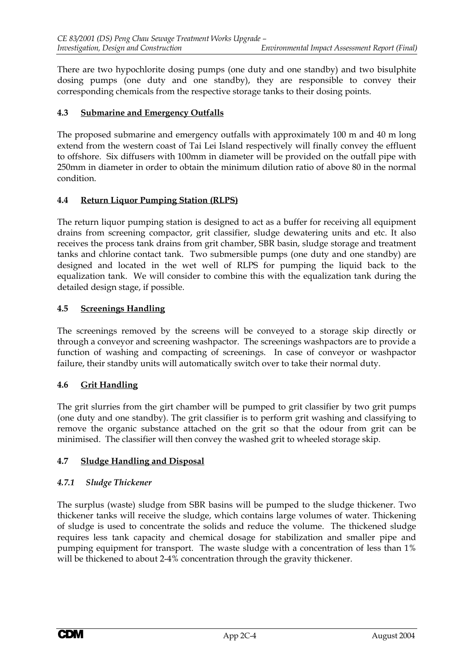There are two hypochlorite dosing pumps (one duty and one standby) and two bisulphite dosing pumps (one duty and one standby), they are responsible to convey their corresponding chemicals from the respective storage tanks to their dosing points.

#### **4.3 Submarine and Emergency Outfalls**

The proposed submarine and emergency outfalls with approximately 100 m and 40 m long extend from the western coast of Tai Lei Island respectively will finally convey the effluent to offshore. Six diffusers with 100mm in diameter will be provided on the outfall pipe with 250mm in diameter in order to obtain the minimum dilution ratio of above 80 in the normal condition.

#### **4.4 Return Liquor Pumping Station (RLPS)**

The return liquor pumping station is designed to act as a buffer for receiving all equipment drains from screening compactor, grit classifier, sludge dewatering units and etc. It also receives the process tank drains from grit chamber, SBR basin, sludge storage and treatment tanks and chlorine contact tank. Two submersible pumps (one duty and one standby) are designed and located in the wet well of RLPS for pumping the liquid back to the equalization tank. We will consider to combine this with the equalization tank during the detailed design stage, if possible.

#### **4.5 Screenings Handling**

The screenings removed by the screens will be conveyed to a storage skip directly or through a conveyor and screening washpactor. The screenings washpactors are to provide a function of washing and compacting of screenings. In case of conveyor or washpactor failure, their standby units will automatically switch over to take their normal duty.

## **4.6 Grit Handling**

The grit slurries from the girt chamber will be pumped to grit classifier by two grit pumps (one duty and one standby). The grit classifier is to perform grit washing and classifying to remove the organic substance attached on the grit so that the odour from grit can be minimised. The classifier will then convey the washed grit to wheeled storage skip.

## **4.7 Sludge Handling and Disposal**

#### *4.7.1 Sludge Thickener*

The surplus (waste) sludge from SBR basins will be pumped to the sludge thickener. Two thickener tanks will receive the sludge, which contains large volumes of water. Thickening of sludge is used to concentrate the solids and reduce the volume. The thickened sludge requires less tank capacity and chemical dosage for stabilization and smaller pipe and pumping equipment for transport. The waste sludge with a concentration of less than 1% will be thickened to about 2-4% concentration through the gravity thickener.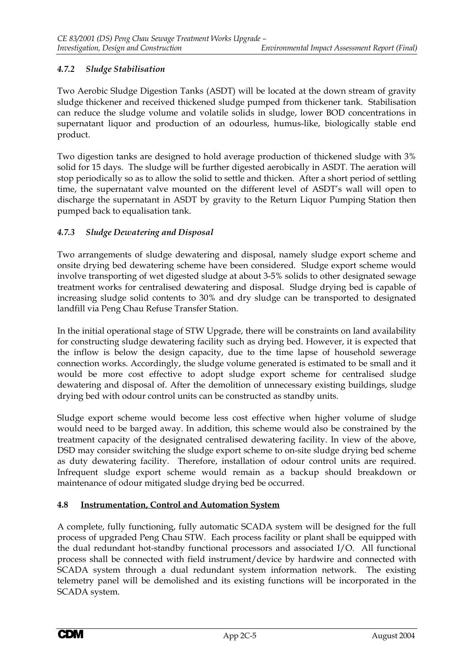# *4.7.2 Sludge Stabilisation*

Two Aerobic Sludge Digestion Tanks (ASDT) will be located at the down stream of gravity sludge thickener and received thickened sludge pumped from thickener tank. Stabilisation can reduce the sludge volume and volatile solids in sludge, lower BOD concentrations in supernatant liquor and production of an odourless, humus-like, biologically stable end product.

Two digestion tanks are designed to hold average production of thickened sludge with 3% solid for 15 days. The sludge will be further digested aerobically in ASDT. The aeration will stop periodically so as to allow the solid to settle and thicken. After a short period of settling time, the supernatant valve mounted on the different level of ASDT's wall will open to discharge the supernatant in ASDT by gravity to the Return Liquor Pumping Station then pumped back to equalisation tank.

# *4.7.3 Sludge Dewatering and Disposal*

Two arrangements of sludge dewatering and disposal, namely sludge export scheme and onsite drying bed dewatering scheme have been considered. Sludge export scheme would involve transporting of wet digested sludge at about 3-5% solids to other designated sewage treatment works for centralised dewatering and disposal. Sludge drying bed is capable of increasing sludge solid contents to 30% and dry sludge can be transported to designated landfill via Peng Chau Refuse Transfer Station.

In the initial operational stage of STW Upgrade, there will be constraints on land availability for constructing sludge dewatering facility such as drying bed. However, it is expected that the inflow is below the design capacity, due to the time lapse of household sewerage connection works. Accordingly, the sludge volume generated is estimated to be small and it would be more cost effective to adopt sludge export scheme for centralised sludge dewatering and disposal of. After the demolition of unnecessary existing buildings, sludge drying bed with odour control units can be constructed as standby units.

Sludge export scheme would become less cost effective when higher volume of sludge would need to be barged away. In addition, this scheme would also be constrained by the treatment capacity of the designated centralised dewatering facility. In view of the above, DSD may consider switching the sludge export scheme to on-site sludge drying bed scheme as duty dewatering facility. Therefore, installation of odour control units are required. Infrequent sludge export scheme would remain as a backup should breakdown or maintenance of odour mitigated sludge drying bed be occurred.

## **4.8 Instrumentation, Control and Automation System**

A complete, fully functioning, fully automatic SCADA system will be designed for the full process of upgraded Peng Chau STW. Each process facility or plant shall be equipped with the dual redundant hot-standby functional processors and associated I/O. All functional process shall be connected with field instrument/device by hardwire and connected with SCADA system through a dual redundant system information network. The existing telemetry panel will be demolished and its existing functions will be incorporated in the SCADA system.